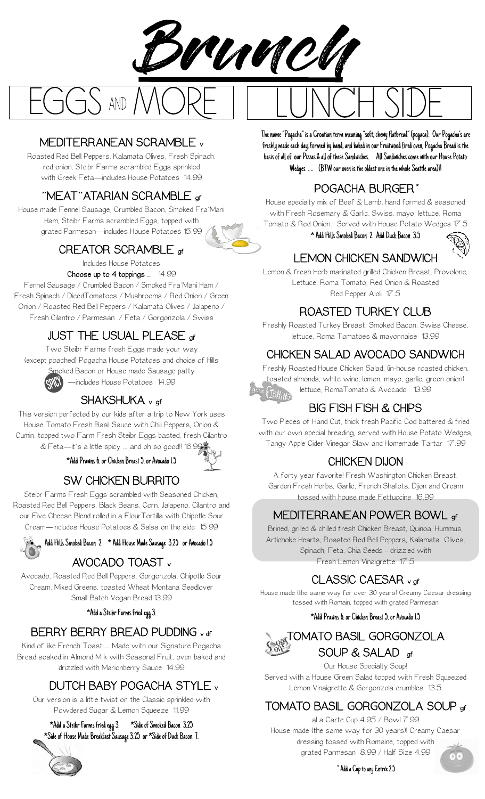

## MEDITERRANEAN SCRAMBLE v

Roasted Red Bell Peppers, Kalamata Olives, Fresh Spinach, red onion, Steibr Farms scrambled Eggs sprinkled with Greek Feta—includes House Potatoes 14.99

#### "MEAT"ATARIAN SCRAMBLE gf

House made Fennel Sausage, Crumbled Bacon, Smoked Fra'Mani Ham, Steibr Farms scrambled Eggs, topped with grated Parmesan—includes House Potatoes 15.99

#### CREATOR SCRAMBLE of

Includes House Potatoes Choose up to 4 toppings .. 14.99

Fennel Sausage / Crumbled Bacon / Smoked Fra'Mani Ham / Fresh Spinach / DicedTomatoes / Mushrooms / Red Onion / Green Onion / Roasted Red Bell Peppers / Kalamata Olives / Jalapeno / Fresh Cilantro / Parmesan / Feta / Gorgonzola / Swiss

## JUST THE USUAL PLEASE gf

Two Steibr Farms fresh Eggs made your way (except poached) Pogacha House Potatoes and choice of Hills moked Bacon or House made Sausage patty —includes House Potatoes 14.99

#### SHAKSHUKA <sub>v gf</sub>

This version perfected by our kids after a trip to New York uses House Tomato Fresh Basil Sauce with Chili Peppers, Onion & Cumin, topped two Farm Fresh Steibr Eggs basted, fresh Cilantro & Feta—it's a little spicy … and oh so good!! 16.99

\*Add Prawns 6. or Chicken Breast 5. or Avocado 1.5



Steibr Farms Fresh Eggs scrambled with Seasoned Chicken, Roasted Red Bell Peppers, Black Beans, Corn, Jalapeno, Cilantro and our Five Cheese Blend rolled in a FlourTortilla with Chipotle Sour Cream—includes House Potatoes & Salsa on the side 15.99

#### • Add Hills Smoked Bacon 2. \* Add House Made Sausage 3.25 or Avocado 1.5

#### AVOCADO TOAST <sup>v</sup>

Avocado, Roasted Red Bell Peppers, Gorgonzola, Chipotle Sour Cream, Mixed Greens, toasted Wheat Montana Seedlover Small Batch Vegan Bread 13.99

\*Add a Steibr Farms fried egg 3.

## BERRY BERRY BREAD PUDDING v df

Kind of like French Toast … Made with our Signature Pogacha Bread soaked in Almond Milk with Seasonal Fruit, oven baked and drizzled with Marionberry Sauce 14.99

#### DUTCH BABY POGACHA STYLE <sup>v</sup>

Our version is a little twist on the Classic sprinkled with Powdered Sugar & Lemon Squeeze 11.99

#### \*Add a Steibr Farms fried egg 3. \*Side of Smoked Bacon 3.25 \*Side of House Made Breakfast Sausage 3.25 or \*Side of Duck Bacon 7.



The name "Pogacha" is a Croatian term meaning "soft, chewy flatbread" (pogaca). Our Pogacha's are freshly made each day, formed by hand, and baked in our Fruitwood fired oven, Pogacha Bread is the basis of all of our Pizzas & all of these Sandwiches. All Sandwiches come with our House Potato Wedges …. (BTW our oven is the oldest one in the whole Seattle area)!!

#### POGACHA BURGER\*

House specialty mix of Beef & Lamb, hand formed & seasoned with Fresh Rosemary & Garlic, Swiss, mayo, lettuce, Roma Tomato & Red Onion. Served with House Potato Wedges 17.5



# LEMON CHICKEN SANDWICH

Lemon & fresh Herb marinated grilled Chicken Breast, Provolone, Lettuce, Roma Tomato, Red Onion & Roasted Red Pepper Aioli 17.5

#### ROASTED TURKEY CLUB

Freshly Roasted Turkey Breast, Smoked Bacon, Swiss Cheese, lettuce, Roma Tomatoes & mayonnaise 13.99

## CHICKEN SALAD AVOCADO SANDWICH

Freshly Roasted House Chicken Salad, (in-house roasted chicken, toasted almonds, white wine, lemon, mayo, garlic, green onion) lettuce, RomaTomato & Avocado 13.99

# BIG FISH FISH & CHIPS

Two Pieces of Hand Cut, thick fresh Pacific Cod battered & fried with our own special breading, served with House Potato Wedges, Tangy Apple Cider Vinegar Slaw and Homemade Tartar 17.99

## CHICKEN DIJON

A forty year favorite! Fresh Washington Chicken Breast, Garden Fresh Herbs, Garlic, French Shallots, Dijon and Cream tossed with house made Fettuccine 16.99

## MEDITERRANEAN POWER BOWL gf

Brined, grilled & chilled fresh Chicken Breast, Quinoa, Hummus, Artichoke Hearts, Roasted Red Bell Peppers, Kalamata Olives, Spinach, Feta, Chia Seeds - drizzled with Fresh Lemon Vinaigrette 17.5

CLASSIC CAESAR v gf

House made (the same way for over 30 years) Creamy Caesar dressing tossed with Romain, topped with grated Parmesan

#### \*Add Prawns 6. or Chicken Breast 5. or Avocado 1.5



Our House Specialty Soup! Served with a House Green Salad topped with Fresh Squeezed Lemon Vinaigrette & Gorgonzola crumbles 13.5

## TOMATO BASIL GORGONZOLA SOUP gf

al a Carte Cup 4.95 / Bowl 7.99 House made (the same way for 30 years)! Creamy Caesar dressing tossed with Romaine, topped with grated Parmesan 8.99 / Half Size 4.99

\*Add a Cup to any Entrée 2.5